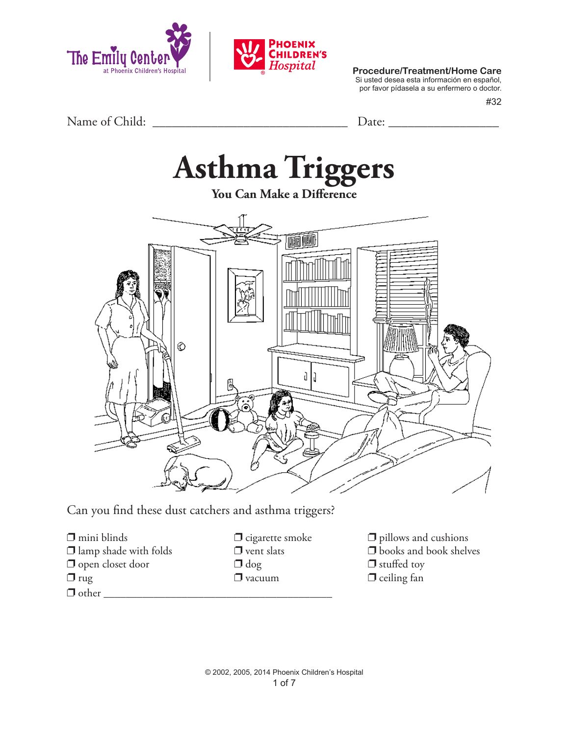



**Procedure/Treatment/Home Care**

Si usted desea esta información en español, por favor pídasela a su enfermero o doctor.

#32

Name of Child: \_\_\_\_\_\_\_\_\_\_\_\_\_\_\_\_\_\_\_\_\_\_\_\_\_\_\_\_\_\_ Date: \_\_\_\_\_\_\_\_\_\_\_\_\_\_\_\_\_

# **Asthma Triggers**

**You Can Make a Difference**



Can you find these dust catchers and asthma triggers?

- $\Box$  mini blinds  $\Box$  cigarette smoke  $\Box$  pillows and cushions  $\Box$  lamp shade with folds  $\Box$  vent slats  $\Box$  books and book shelves  $\Box$  open closet door  $\Box$  dog  $\Box$  stuffed toy  $\Box$  rug  $\Box$  vacuum  $\Box$  ceiling fan  $\Box$  other
- 
- 
- 
- 
-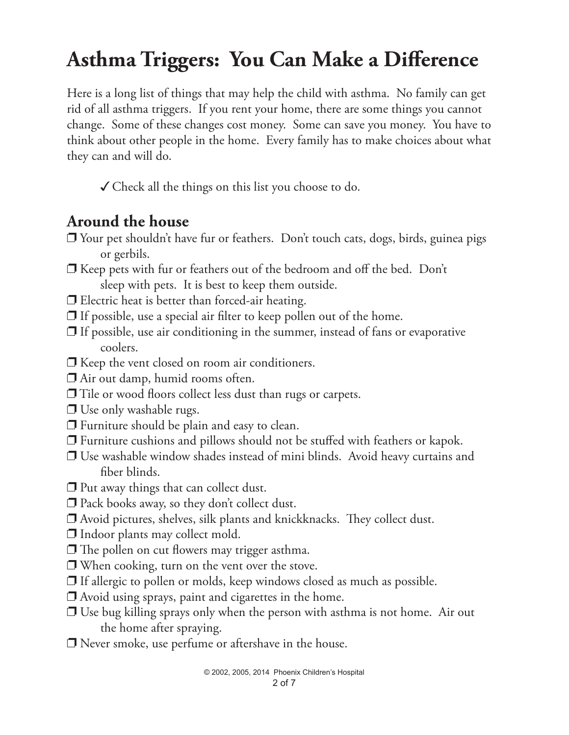## **Asthma Triggers: You Can Make a Difference**

Here is a long list of things that may help the child with asthma. No family can get rid of all asthma triggers. If you rent your home, there are some things you cannot change. Some of these changes cost money. Some can save you money. You have to think about other people in the home. Every family has to make choices about what they can and will do.

 $\checkmark$  Check all the things on this list you choose to do.

#### **Around the house**

- $\Box$  Your pet shouldn't have fur or feathers. Don't touch cats, dogs, birds, guinea pigs or gerbils.
- $\Box$  Keep pets with fur or feathers out of the bedroom and off the bed. Don't sleep with pets. It is best to keep them outside.
- $\Box$  Electric heat is better than forced-air heating.
- $\Box$  If possible, use a special air filter to keep pollen out of the home.
- $\Box$  If possible, use air conditioning in the summer, instead of fans or evaporative coolers.
- $\Box$  Keep the vent closed on room air conditioners.
- $\Box$  Air out damp, humid rooms often.
- $\Box$  Tile or wood floors collect less dust than rugs or carpets.
- $\Box$  Use only washable rugs.
- $\Box$  Furniture should be plain and easy to clean.
- $\Box$  Furniture cushions and pillows should not be stuffed with feathers or kapok.
- $\Box$  Use washable window shades instead of mini blinds. Avoid heavy curtains and fiber blinds.
- $\Box$  Put away things that can collect dust.
- $\square$  Pack books away, so they don't collect dust.
- $\Box$  Avoid pictures, shelves, silk plants and knickknacks. They collect dust.
- $\Box$  Indoor plants may collect mold.
- $\square$  The pollen on cut flowers may trigger asthma.
- $\Box$  When cooking, turn on the vent over the stove.
- $\Box$  If allergic to pollen or molds, keep windows closed as much as possible.
- $\Box$  Avoid using sprays, paint and cigarettes in the home.
- $\Box$  Use bug killing sprays only when the person with asthma is not home. Air out the home after spraying.
- $\Box$  Never smoke, use perfume or aftershave in the house.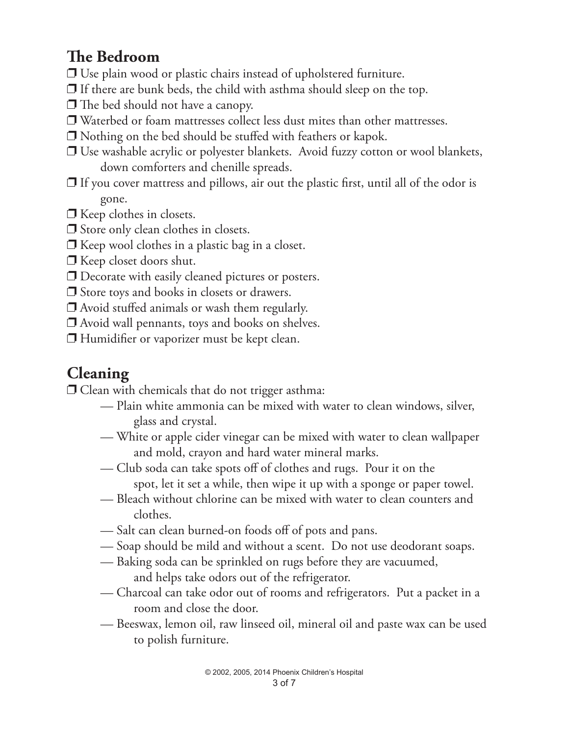## **The Bedroom**

- $\Box$  Use plain wood or plastic chairs instead of upholstered furniture.
- $\Box$  If there are bunk beds, the child with asthma should sleep on the top.
- $\Box$  The bed should not have a canopy.
- $\Box$  Waterbed or foam mattresses collect less dust mites than other mattresses.
- $\Box$  Nothing on the bed should be stuffed with feathers or kapok.
- $\Box$  Use washable acrylic or polyester blankets. Avoid fuzzy cotton or wool blankets, down comforters and chenille spreads.
- $\Box$  If you cover mattress and pillows, air out the plastic first, until all of the odor is gone.
- $\Box$  Keep clothes in closets.
- $\Box$  Store only clean clothes in closets.
- $\Box$  Keep wool clothes in a plastic bag in a closet.
- $\Box$  Keep closet doors shut.
- $\Box$  Decorate with easily cleaned pictures or posters.
- $\Box$  Store toys and books in closets or drawers.
- $\Box$  Avoid stuffed animals or wash them regularly.
- $\Box$  Avoid wall pennants, toys and books on shelves.
- $\Box$  Humidifier or vaporizer must be kept clean.

## **Cleaning**

 $\Box$  Clean with chemicals that do not trigger asthma:

- Plain white ammonia can be mixed with water to clean windows, silver, glass and crystal.
- White or apple cider vinegar can be mixed with water to clean wallpaper and mold, crayon and hard water mineral marks.
- Club soda can take spots off of clothes and rugs. Pour it on the spot, let it set a while, then wipe it up with a sponge or paper towel.
- Bleach without chlorine can be mixed with water to clean counters and clothes.
- Salt can clean burned-on foods off of pots and pans.
- Soap should be mild and without a scent. Do not use deodorant soaps.
- Baking soda can be sprinkled on rugs before they are vacuumed, and helps take odors out of the refrigerator.
- Charcoal can take odor out of rooms and refrigerators. Put a packet in a room and close the door.
- Beeswax, lemon oil, raw linseed oil, mineral oil and paste wax can be used to polish furniture.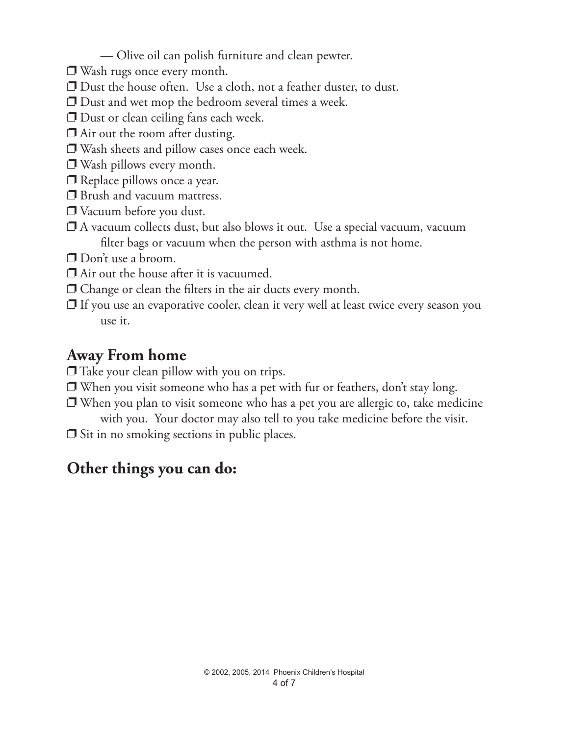- Olive oil can polish furniture and clean pewter.
- $\Box$  Wash rugs once every month.
- $\Box$  Dust the house often. Use a cloth, not a feather duster, to dust.
- $\Box$  Dust and wet mop the bedroom several times a week.
- $\Box$  Dust or clean ceiling fans each week.
- $\Box$  Air out the room after dusting.
- $\Box$  Wash sheets and pillow cases once each week.
- $\Box$  Wash pillows every month.
- $\Box$  Replace pillows once a year.
- $\Box$  Brush and vacuum mattress.
- $\Box$  Vacuum before you dust.
- $\Box$  A vacuum collects dust, but also blows it out. Use a special vacuum, vacuum filter bags or vacuum when the person with asthma is not home.
- $\Box$  Don't use a broom.
- $\Box$  Air out the house after it is vacuumed.
- $\Box$  Change or clean the filters in the air ducts every month.
- $\Box$  If you use an evaporative cooler, clean it very well at least twice every season you use it.

#### **Away From home**

- $\Box$  Take your clean pillow with you on trips.
- $\Box$  When you visit someone who has a pet with fur or feathers, don't stay long.
- $\Box$  When you plan to visit someone who has a pet you are allergic to, take medicine with you. Your doctor may also tell to you take medicine before the visit.
- $\Box$  Sit in no smoking sections in public places.

### **Other things you can do:**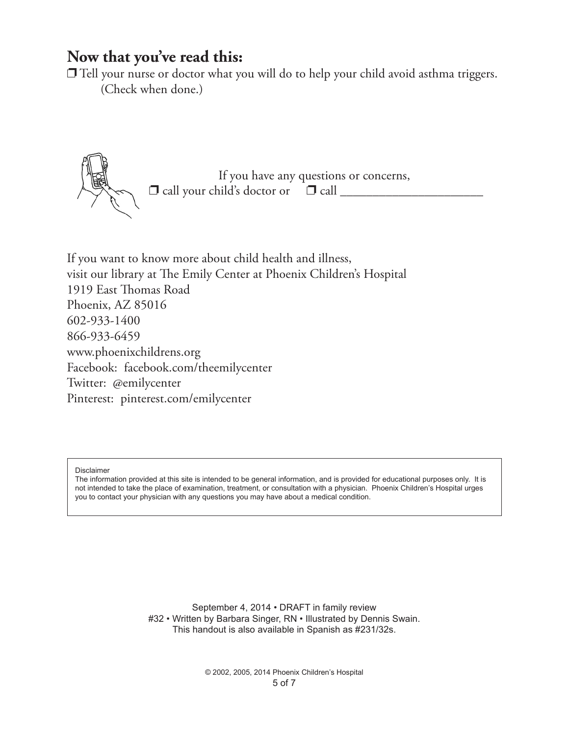#### **Now that you've read this:**

 $\Box$  Tell your nurse or doctor what you will do to help your child avoid asthma triggers. (Check when done.)



If you want to know more about child health and illness, visit our library at The Emily Center at Phoenix Children's Hospital 1919 East Thomas Road Phoenix, AZ 85016 602-933-1400 866-933-6459 www.phoenixchildrens.org Facebook: facebook.com/theemilycenter Twitter: @emilycenter Pinterest: pinterest.com/emilycenter

Disclaimer

The information provided at this site is intended to be general information, and is provided for educational purposes only. It is not intended to take the place of examination, treatment, or consultation with a physician. Phoenix Children's Hospital urges you to contact your physician with any questions you may have about a medical condition.

> September 4, 2014 • DRAFT in family review #32 • Written by Barbara Singer, RN • Illustrated by Dennis Swain. This handout is also available in Spanish as #231/32s.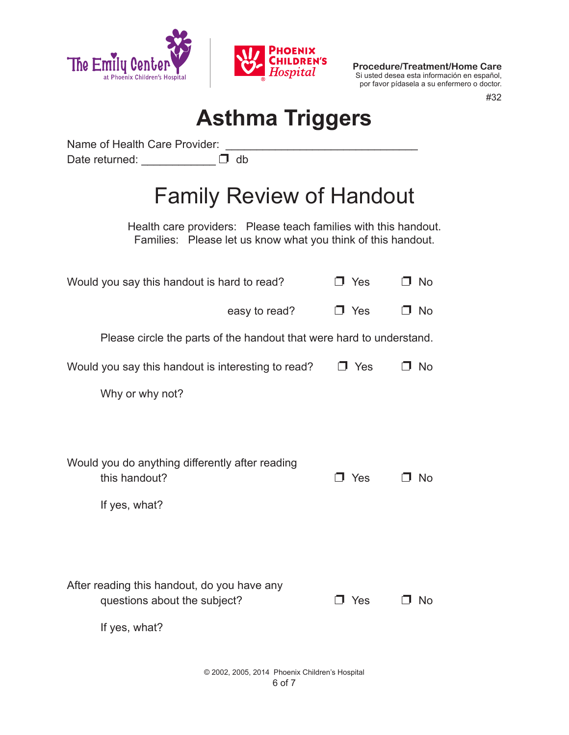

**Procedure/Treatment/Home Care** Si usted desea esta información en español, por favor pídasela a su enfermero o doctor.

#32

# **Asthma Triggers**

Name of Health Care Provider: Date returned:  $\Box$  db

# Family Review of Handout

Health care providers: Please teach families with this handout. Families: Please let us know what you think of this handout.

| Would you say this handout is hard to read?                                                  | J Yes      | □ No      |
|----------------------------------------------------------------------------------------------|------------|-----------|
| easy to read?                                                                                | $\Box$ Yes | <b>No</b> |
| Please circle the parts of the handout that were hard to understand.                         |            |           |
| Would you say this handout is interesting to read?                                           | $\Box$ Yes | No        |
| Why or why not?                                                                              |            |           |
|                                                                                              |            |           |
| Would you do anything differently after reading<br>this handout?<br>If yes, what?            | Yes<br>٦   | No        |
| After reading this handout, do you have any<br>questions about the subject?<br>If yes, what? | J Yes      | N٥        |